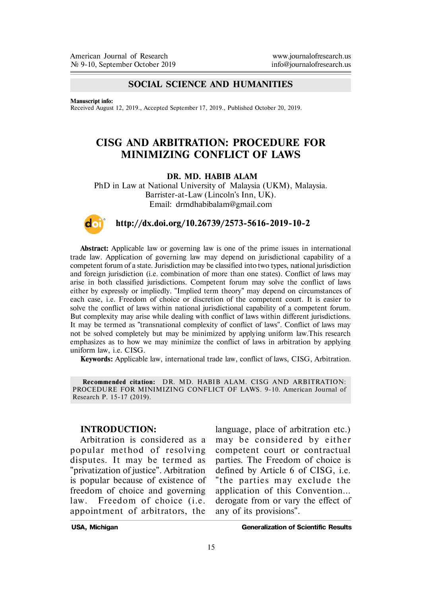### **SOCIAL SCIENCE AND HUMANITIES**

**Manuscript info:**

Received August 12, 2019., Accepted September 17, 2019., Published October 20, 2019.

# **CISG AND ARBITRATION: PROCEDURE FOR MINIMIZING CONFLICT OF LAWS**

#### **DR. MD. HABIB ALAM**

PhD in Law at National University of Malaysia (UKM), Malaysia. Barrister-at-Law (Lincoln's Inn, UK). Email: drmdhabibalam@gmail.com



#### **http://dx.doi.org/10.26739/2573-5616-2019-10-2**

**Abstract:** Applicable law or governing law is one of the prime issues in international trade law. Application of governing law may depend on jurisdictional capability of a competent forum of a state. Jurisdiction may be classified into two types, national jurisdiction and foreign jurisdiction (i.e. combination of more than one states). Conflict of laws may arise in both classified jurisdictions. Competent forum may solve the conflict of laws either by expressly or impliedly. "Implied term theory" may depend on circumstances of each case, i.e. Freedom of choice or discretion of the competent court. It is easier to solve the conflict of laws within national jurisdictional capability of a competent forum. But complexity may arise while dealing with conflict of laws within different jurisdictions. It may be termed as "transnational complexity of conflict of laws". Conflict of laws may not be solved completely but may be minimized by applying uniform law.This research emphasizes as to how we may minimize the conflict of laws in arbitration by applying uniform law, i.e. CISG.

**Keywords:** Applicable law, international trade law, conflict of laws, CISG, Arbitration.

**Recommended citation:** DR. MD. HABIB ALAM. CISG AND ARBITRATION: PROCEDURE FOR MINIMIZING CONFLICT OF LAWS. 9-10. American Journal of Research P. 15-17 (2019).

#### **INTRODUCTION:**

Arbitration is considered as a popular method of resolving disputes. It may be termed as "privatization of justice". Arbitration is popular because of existence of freedom of choice and governing law. Freedom of choice (i.e. appointment of arbitrators, the

language, place of arbitration etc.) may be considered by either competent court or contractual parties. The Freedom of choice is defined by Article 6 of CISG, i.e. "the parties may exclude the application of this Convention... derogate from or vary the effect of any of its provisions".

**USA, Michigan Generalization of Scientific Results**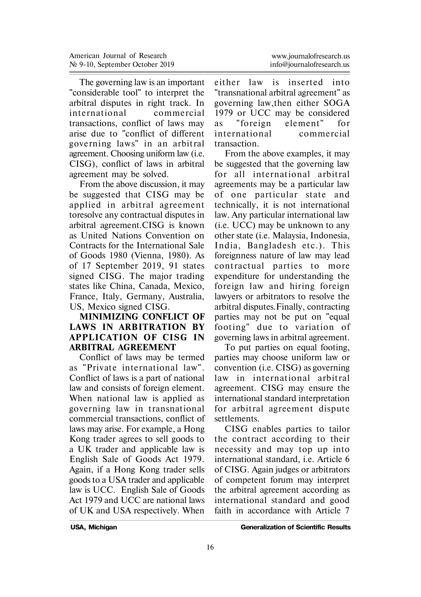The governing law is an important "considerable tool" to interpret the arbitral disputes in right track. In in ternational commercial transactions, conflict of laws may arise due to "conflict of different governing laws" in an arbitral agreement. Choosing uniform law (i.e. CISG), conflict of laws in arbitral agreement may be solved.

From the above discussion, it may be suggested that CISG may be applied in arbitral agreement toresolve any contractual disputes in arbitral agreement.CISG is known as United Nations Convention on Contracts for the International Sale of Goods 1980 (Vienna, 1980). As of 17 September 2019, 91 states signed CISG. The major trading states like China, Canada, Mexico, France, Italy, Germany, Australia, US, Mexico signed CISG.

## **MINIMIZING CONFLICT OF LAWS IN ARBITRATION BY APPLICATION OF CISG IN ARBITRAL AGREEMENT**

Conflict of laws may be termed as "Private in ternational law". Conflict of laws is a part of national law and consists of foreign element. When national law is applied as governing law in transnational commercial transactions, conflict of laws may arise. For example, a Hong Kong trader agrees to sell goods to a UK trader and applicable law is English Sale of Goods Act 1979. Again, if a Hong Kong trader sells goods to a USA trader and applicable law is UCC. English Sale of Goods Act 1979 and UCC are national laws of UK and USA respectively. When

either law is inserted into "transnational arbitral agreement" as governing law,then either SOGA 1979 or UCC may be considered as "foreign element" for in ternational commercial transaction.

From the above examples, it may be suggested that the governing law for all international arbitral agreements may be a particular law of one particular state and technically, it is not international law. Any particular international law (i.e. UCC) may be unknown to any other state (i.e. Malaysia, Indonesia, India, Bangladesh etc.). This foreignness nature of law may lead contractual parties to more expenditure for understanding the foreign law and hiring foreign lawyers or arbitrators to resolve the arbitral disputes.Finally, contracting parties may not be put on "equal footing" due to variation of governing laws in arbitral agreement.

To put parties on equal footing, parties may choose uniform law or convention (i.e. CISG) as governing law in international arbitral agreement. CISG may ensure the international standard interpretation for arbitral agreement dispute settlements.

CISG enables parties to tailor the contract according to their necessity and may top up into international standard, i.e. Article 6 of CISG. Again judges or arbitrators of competent forum may interpret the arbitral agreement according as international standard and good faith in accordance with Article 7